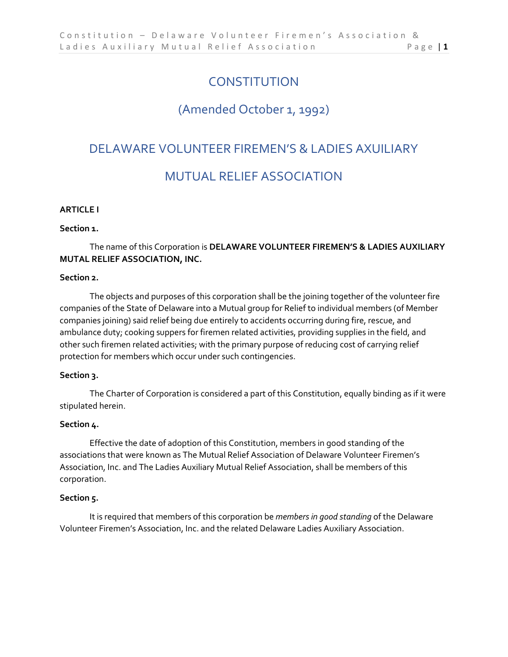# **CONSTITUTION**

# (Amended October 1, 1992)

# DELAWARE VOLUNTEER FIREMEN'S & LADIES AXUILIARY

# MUTUAL RELIEF ASSOCIATION

### **ARTICLE I**

### **Section 1.**

# The name of this Corporation is **DELAWARE VOLUNTEER FIREMEN'S & LADIES AUXILIARY MUTAL RELIEF ASSOCIATION, INC.**

#### **Section 2.**

The objects and purposes of this corporation shall be the joining together of the volunteer fire companies of the State of Delaware into a Mutual group for Relief to individual members (of Member companies joining) said relief being due entirely to accidents occurring during fire, rescue, and ambulance duty; cooking suppers for firemen related activities, providing supplies in the field, and other such firemen related activities; with the primary purpose of reducing cost of carrying relief protection for members which occur under such contingencies.

# **Section 3.**

The Charter of Corporation is considered a part of this Constitution, equally binding as if it were stipulated herein.

#### **Section 4.**

Effective the date of adoption of this Constitution, members in good standing of the associations that were known as The Mutual Relief Association of Delaware Volunteer Firemen's Association, Inc. and The Ladies Auxiliary Mutual Relief Association, shall be members of this corporation.

#### **Section 5.**

It is required that members of this corporation be *members in good standing* of the Delaware Volunteer Firemen's Association, Inc. and the related Delaware Ladies Auxiliary Association.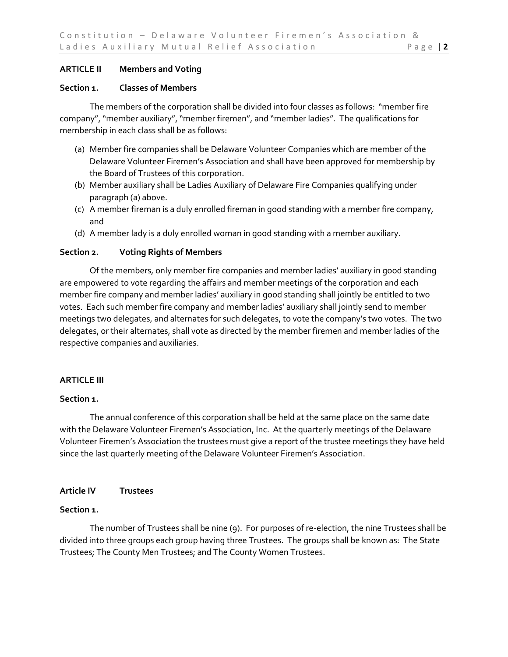# **ARTICLE II Members and Voting**

#### **Section 1. Classes of Members**

The members of the corporation shall be divided into four classes as follows: "member fire company", "member auxiliary", "member firemen", and "member ladies". The qualifications for membership in each class shall be as follows:

- (a) Member fire companies shall be Delaware Volunteer Companies which are member of the Delaware Volunteer Firemen's Association and shall have been approved for membership by the Board of Trustees of this corporation.
- (b) Member auxiliary shall be Ladies Auxiliary of Delaware Fire Companies qualifying under paragraph (a) above.
- (c) A member fireman is a duly enrolled fireman in good standing with a member fire company, and
- (d) A member lady is a duly enrolled woman in good standing with a member auxiliary.

### **Section 2. Voting Rights of Members**

Of the members, only member fire companies and member ladies' auxiliary in good standing are empowered to vote regarding the affairs and member meetings of the corporation and each member fire company and member ladies' auxiliary in good standing shall jointly be entitled to two votes. Each such member fire company and member ladies' auxiliary shall jointly send to member meetings two delegates, and alternates for such delegates, to vote the company's two votes. The two delegates, or their alternates, shall vote as directed by the member firemen and member ladies of the respective companies and auxiliaries.

### **ARTICLE III**

### **Section 1.**

The annual conference of this corporation shall be held at the same place on the same date with the Delaware Volunteer Firemen's Association, Inc. At the quarterly meetings of the Delaware Volunteer Firemen's Association the trustees must give a report of the trustee meetings they have held since the last quarterly meeting of the Delaware Volunteer Firemen's Association.

### **Article IV Trustees**

#### **Section 1.**

The number of Trustees shall be nine (9). For purposes of re-election, the nine Trustees shall be divided into three groups each group having three Trustees. The groups shall be known as: The State Trustees; The County Men Trustees; and The County Women Trustees.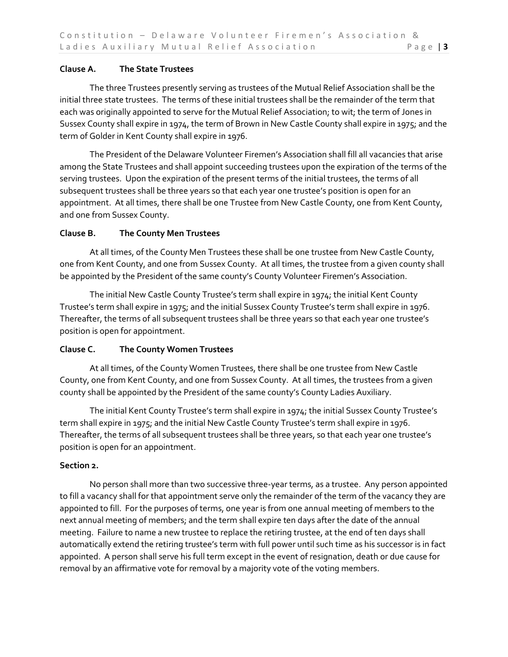# **Clause A. The State Trustees**

The three Trustees presently serving as trustees of the Mutual Relief Association shall be the initial three state trustees. The terms of these initial trustees shall be the remainder of the term that each was originally appointed to serve for the Mutual Relief Association; to wit; the term of Jones in Sussex County shall expire in 1974, the term of Brown in New Castle County shall expire in 1975; and the term of Golder in Kent County shall expire in 1976.

The President of the Delaware Volunteer Firemen's Association shall fill all vacancies that arise among the State Trustees and shall appoint succeeding trustees upon the expiration of the terms of the serving trustees. Upon the expiration of the present terms of the initial trustees, the terms of all subsequent trustees shall be three years so that each year one trustee's position is open for an appointment. At all times, there shall be one Trustee from New Castle County, one from Kent County, and one from Sussex County.

# **Clause B. The County Men Trustees**

At all times, of the County Men Trustees these shall be one trustee from New Castle County, one from Kent County, and one from Sussex County. At all times, the trustee from a given county shall be appointed by the President of the same county's County Volunteer Firemen's Association.

The initial New Castle County Trustee's term shall expire in 1974; the initial Kent County Trustee's term shall expire in 1975; and the initial Sussex County Trustee's term shall expire in 1976. Thereafter, the terms of all subsequent trustees shall be three years so that each year one trustee's position is open for appointment.

# **Clause C. The County Women Trustees**

At all times, of the County Women Trustees, there shall be one trustee from New Castle County, one from Kent County, and one from Sussex County. At all times, the trustees from a given county shall be appointed by the President of the same county's County Ladies Auxiliary.

The initial Kent County Trustee's term shall expire in 1974; the initial Sussex County Trustee's term shall expire in 1975; and the initial New Castle County Trustee's term shall expire in 1976. Thereafter, the terms of all subsequent trustees shall be three years, so that each year one trustee's position is open for an appointment.

# **Section 2.**

No person shall more than two successive three-year terms, as a trustee. Any person appointed to fill a vacancy shall for that appointment serve only the remainder of the term of the vacancy they are appointed to fill. For the purposes of terms, one year is from one annual meeting of members to the next annual meeting of members; and the term shall expire ten days after the date of the annual meeting. Failure to name a new trustee to replace the retiring trustee, at the end of ten days shall automatically extend the retiring trustee's term with full power until such time as his successor is in fact appointed. A person shall serve his full term except in the event of resignation, death or due cause for removal by an affirmative vote for removal by a majority vote of the voting members.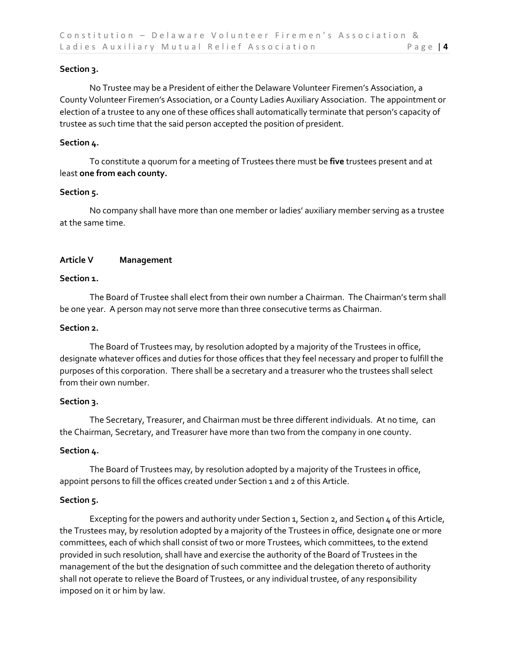# **Section 3.**

No Trustee may be a President of either the Delaware Volunteer Firemen's Association, a County Volunteer Firemen's Association, or a County Ladies Auxiliary Association. The appointment or election of a trustee to any one of these offices shall automatically terminate that person's capacity of trustee as such time that the said person accepted the position of president.

# **Section 4.**

To constitute a quorum for a meeting of Trustees there must be **five** trustees present and at least **one from each county.**

# **Section 5.**

No company shall have more than one member or ladies' auxiliary member serving as a trustee at the same time.

# **Article V Management**

### **Section 1.**

The Board of Trustee shall elect from their own number a Chairman. The Chairman's term shall be one year. A person may not serve more than three consecutive terms as Chairman.

### **Section 2.**

The Board of Trustees may, by resolution adopted by a majority of the Trustees in office, designate whatever offices and duties for those offices that they feel necessary and proper to fulfill the purposes of this corporation. There shall be a secretary and a treasurer who the trustees shall select from their own number.

### **Section 3.**

The Secretary, Treasurer, and Chairman must be three different individuals. At no time, can the Chairman, Secretary, and Treasurer have more than two from the company in one county.

### **Section 4.**

The Board of Trustees may, by resolution adopted by a majority of the Trustees in office, appoint persons to fill the offices created under Section 1 and 2 of this Article.

# **Section 5.**

Excepting for the powers and authority under Section 1, Section 2, and Section 4 of this Article, the Trustees may, by resolution adopted by a majority of the Trustees in office, designate one or more committees, each of which shall consist of two or more Trustees, which committees, to the extend provided in such resolution, shall have and exercise the authority of the Board of Trustees in the management of the but the designation of such committee and the delegation thereto of authority shall not operate to relieve the Board of Trustees, or any individual trustee, of any responsibility imposed on it or him by law.